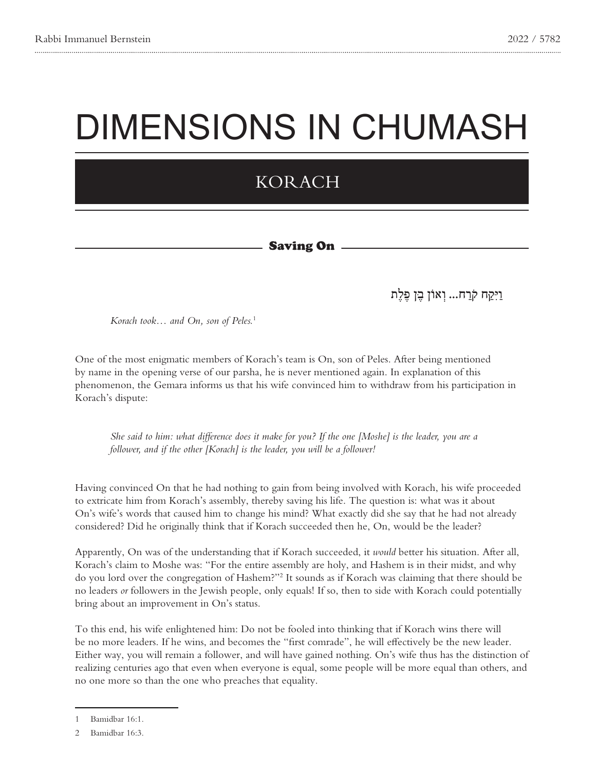# DIMENSIONS IN CHUMASH

# KORACH

#### **Saving On**

## וַיִּקַ ּח קֹ רַ ח... וְ אוֹן בֶ ּן פֶ ּלֶת

*Korach took... and On, son of Peles.<sup>1</sup>* 

One of the most enigmatic members of Korach's team is On, son of Peles. After being mentioned by name in the opening verse of our parsha, he is never mentioned again. In explanation of this phenomenon, the Gemara informs us that his wife convinced him to withdraw from his participation in Korach's dispute:

*She said to him: what difference does it make for you? If the one [Moshe] is the leader, you are a follower, and if the other [Korach] is the leader, you will be a follower!* 

Having convinced On that he had nothing to gain from being involved with Korach, his wife proceeded to extricate him from Korach's assembly, thereby saving his life. The question is: what was it about On's wife's words that caused him to change his mind? What exactly did she say that he had not already considered? Did he originally think that if Korach succeeded then he, On, would be the leader?

Apparently, On was of the understanding that if Korach succeeded, it *would* better his situation. After all, Korach's claim to Moshe was: "For the entire assembly are holy, and Hashem is in their midst, and why do you lord over the congregation of Hashem?"<sup>2</sup> It sounds as if Korach was claiming that there should be no leaders *or* followers in the Jewish people, only equals! If so, then to side with Korach could potentially bring about an improvement in On's status.

To this end, his wife enlightened him: Do not be fooled into thinking that if Korach wins there will be no more leaders. If he wins, and becomes the "first comrade", he will effectively be the new leader. Either way, you will remain a follower, and will have gained nothing. On's wife thus has the distinction of realizing centuries ago that even when everyone is equal, some people will be more equal than others, and no one more so than the one who preaches that equality.

<sup>1</sup> Bamidbar 16:1.

<sup>2</sup> Bamidbar 16:3.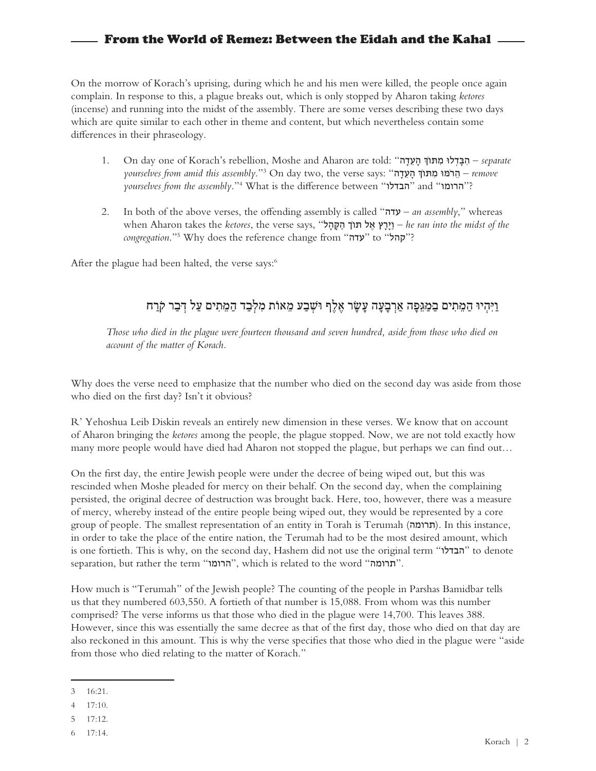On the morrow of Korach's uprising, during which he and his men were killed, the people once again complain. In response to this, a plague breaks out, which is only stopped by Aharon taking *ketores* (incense) and running into the midst of the assembly. There are some verses describing these two days which are quite similar to each other in theme and content, but which nevertheless contain some differences in their phraseology.

- 1. On day one of Korach's rebellion, Moshe and Aharon are told: "הַבְּדָלוּ מִתּוֹךְ הַעֲדָה separate 3".*assembly this amid from yourselves remove* – הֵ רֹּמּו מִ ּתוְֹך הָ עֵ דָה" :says verse the ,two day On yourselves from the assembly."<sup>4</sup> What is the difference between "הבדלו" and "
- 2. In both of the above verses, the offending assembly is called "**עדה**" an assembly," whereas  *the of the into the midst of the extores, the verse says,* "יִרָץ אֵל תוֹך הַקָּהל, *he ran into the midst of the* congregation."<sup>5</sup> Why does the reference change from "**עדה**" to "**קהל**

After the plague had been halted, the verse says:<sup>6</sup>

### וַיִּהְיוּ הַמֵּתִים בַמַגֵּפַה אַרְבַעָה עַשָׂר אֶלֶף וּשָׁבַע מֵאוֹת מִלְּבַד הַמֵּתִים עַל דְּבַר קֹרַח

*Those who died in the plague were fourteen thousand and seven hundred, aside from those who died on account of the matter of Korach.* 

Why does the verse need to emphasize that the number who died on the second day was aside from those who died on the first day? Isn't it obvious?

R' Yehoshua Leib Diskin reveals an entirely new dimension in these verses. We know that on account of Aharon bringing the *ketores* among the people, the plague stopped. Now, we are not told exactly how many more people would have died had Aharon not stopped the plague, but perhaps we can find out...

On the first day, the entire Jewish people were under the decree of being wiped out, but this was rescinded when Moshe pleaded for mercy on their behalf. On the second day, when the complaining persisted, the original decree of destruction was brought back. Here, too, however, there was a measure of mercy, whereby instead of the entire people being wiped out, they would be represented by a core group of people. The smallest representation of an entity in Torah is Terumah (תרומה). In this instance, in order to take the place of the entire nation, the Terumah had to be the most desired amount, which is one fortieth. This is why, on the second day, Hashem did not use the original term "הבדלו" to denote separation, but rather the term "הרומו", which is related to the word ".

How much is "Terumah" of the Jewish people? The counting of the people in Parshas Bamidbar tells us that they numbered  $603,550$ . A fortieth of that number is  $15,088$ . From whom was this number comprised? The verse informs us that those who died in the plague were 14,700. This leaves 388. However, since this was essentially the same decree as that of the first day, those who died on that day are also reckoned in this amount. This is why the verse specifies that those who died in the plague were "aside" from those who died relating to the matter of Korach."

 $3 - 16:21$ .

 $4$  17:10.

<sup>5 17:12.</sup> 

 $6$  17:14.